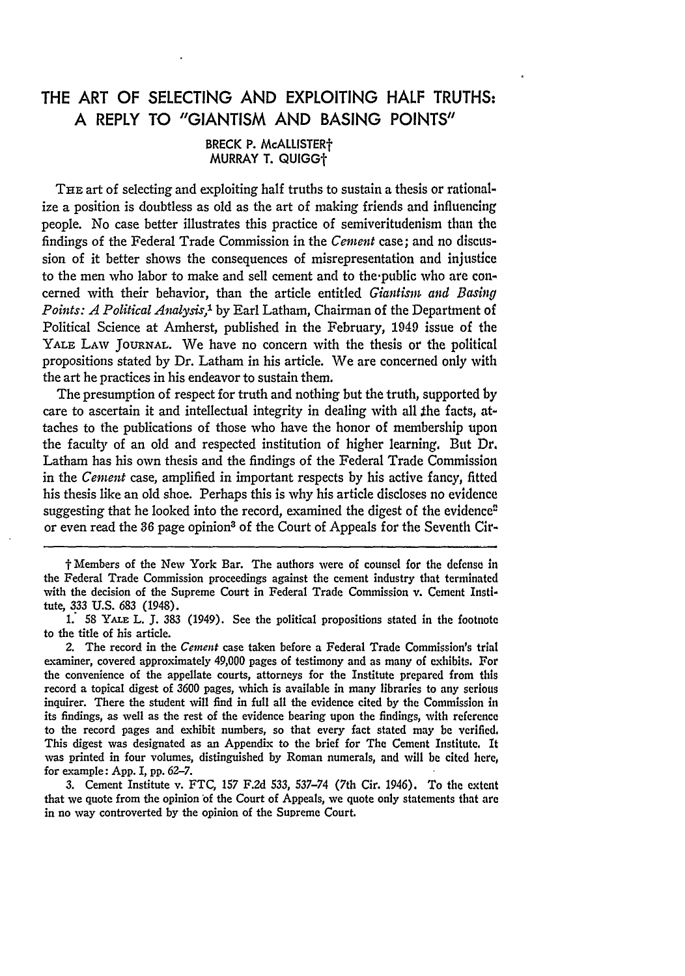## THE ART OF **SELECTING AND EXPLOITING** HALF TRUTHS: **A** REPLY TO **"GIANTISM AND BASING POINTS"**

BRECK P. McALLISTER' **MURRAY** T. **QUIGGt**

THE art of selecting and exploiting half truths to sustain a thesis or rationalize a position is doubtless as old as the art of making friends and influencing people. No case better illustrates this practice of semiveritudenism than the findings of the Federal Trade Commission in the *Cement* case; and no discussion of it better shows the consequences of misrepresentation and injustice to the men who labor to make and sell cement and to the-public who are concerned with their behavior, than the article entitled *Giantism and Basing Points: A Political Analysis,1* **by** Earl Latham, Chairman of the Department of Political Science at Amherst, published in the February, 1949 issue of the YALE LAw **JOURNAL.** We have no concern with the thesis or the political propositions stated by Dr. Latham in his article. We are concerned only with the art he practices in his endeavor to sustain them.

The presumption of respect for truth and nothing but the truth, supported by care to ascertain it and intellectual integrity in dealing with all **the** facts, attaches to the publications of those who have the honor of membership upon the faculty of an old and respected institution of higher learning. But Dr. Latham has his own thesis and the findings of the Federal Trade Commission in the *Cement* case, amplified in important respects **by** his active fancy, fitted his thesis like an old shoe. Perhaps this is why his article discloses no evidence suggesting that he looked into the record, examined the digest of the evidence<sup>2</sup> or even read the *36* page opinion3 of the Court of Appeals for the Seventh Cir-

t Members of the New York Bar. The authors were of counsel for the defense in the Federal Trade Commission proceedings against the cement industry that terminated with the decision of the Supreme Court in Federal Trade Commission v. Cement Institute, **333 U.S. 683** (1948).

**1. 58** YALE L. **J. 383** (1949). See the political propositions stated in the footnote to the title of his article.

2. The record in the Cement case taken before a Federal Trade Commission's trial examiner, covered approximately 49,000 pages of testimony and as many of exhibits. For the convenience of the appellate courts, attorneys for the Institute prepared from this record a topical digest of **3600** pages, which is available in many libraries to any serious inquirer. There the student will find in full all the evidence cited **by** the Commission in its findings, as well as the rest of the evidence bearing upon the findings, with reference to the record pages and exhibit numbers, so that every fact stated may **be** verified, This digest was designated as an Appendix to the brief for The Cement Institute. It was printed in four volumes, distinguished **by** Roman numerals, and will **be** cited here, for example: **App.** I, **pp. 62-7.**

3. Cement Institute v. FTC, **157 F.2d** 533, **537-74** (7th Cir. 1946). To the extent that we quote from the opinion of the Court of Appeals, we quote only statements that are in no way controverted **by** the opinion of the Supreme Court.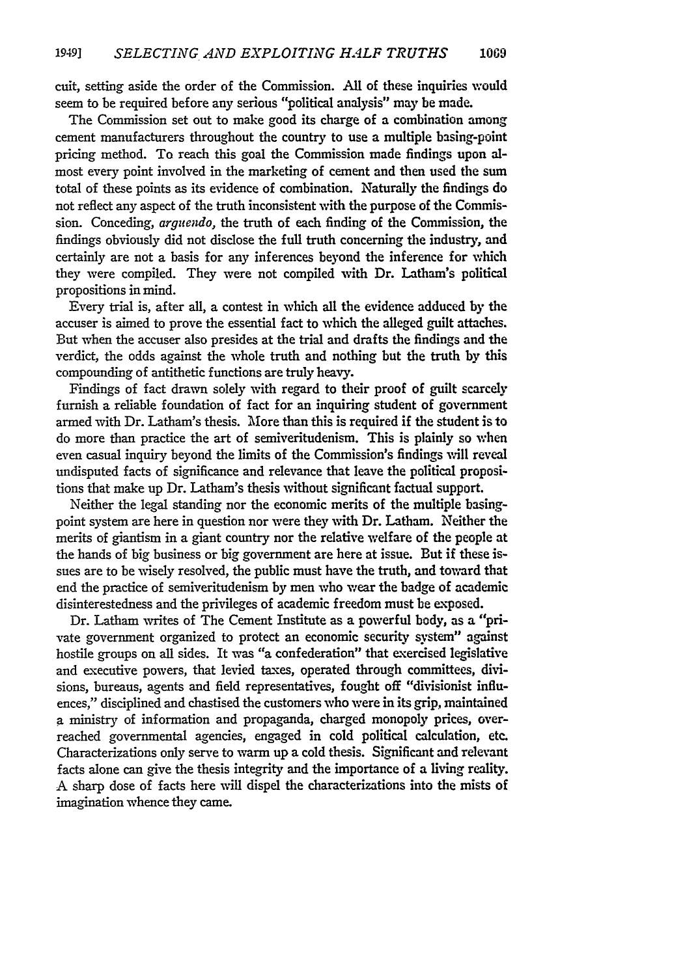cult, setting aside the order of the Commission. All of these inquiries would seem to be required before any serious "political analysis" may be made.

The Commission set out to make good its charge of a combination among cement manufacturers throughout the country to use a multiple basing-point pricing method. To reach this goal the Commission made findings upon almost every point involved in the marketing of cement and then used the sum total of these points as its evidence of combination. Naturally the findings do not reflect any aspect of the truth inconsistent with the purpose of the Commission. Conceding, *arguendo,* the truth of each finding of the Commission, the findings obviously did not disclose the full truth concerning the industry, and certainly are not a basis for any inferences beyond the inference for which they were compiled. They were not compiled with Dr. Latham's political propositions in mind.

Every trial is, after all, a contest in which all the evidence adduced by the accuser is aimed to prove the essential fact to which the alleged guilt attaches. But when the accuser also presides at the trial and drafts the findings and the verdict, the odds against the whole truth and nothing but the truth by this compounding of antithetic functions are truly heavy.

Findings of fact drawn solely with regard to their proof of guilt scarcely furnish a reliable foundation of fact for an inquiring student of government armed with Dr. Latham's thesis. More than this is required if the student is to do more than practice the art of semiveritudenism. This is plainly so when even casual inquiry beyond the limits of the Commission's findings will reveal undisputed facts of significance and relevance that leave the political propositions that make up Dr. Latham's thesis without significant factual support.

Neither the legal standing nor the economic merits of the multiple basingpoint system are here in question nor were they with Dr. Latham. Neither the merits of giantism in a giant country nor the relative welfare of the people at the hands of big business or big government are here at issue. But if these issues are to be wisely resolved, the public must have the truth, and toward that end the practice of semiveritudenism by men who wear the badge of academic disinterestedness and the privileges of academic freedom must be exposed.

Dr. Latham writes of The Cement Institute as a powerful body, as a "private government organized to protect an economic security system" against hostile groups on all sides. It was "a confederation" that exercised legislative and executive powers, that levied taxes, operated through committees, divisions, bureaus, agents and field representatives, fought off "divisionist influences," disciplined and chastised the customers who were in its grip, maintained a ministry of information and propaganda, charged monopoly prices, overreached governmental agencies, engaged in cold political calculation, etc. Characterizations only serve to warm up a cold thesis. Significant and relevant facts alone can give the thesis integrity and the importance of a living reality. A sharp dose of facts here will dispel the characterizations into the mists of imagination whence they came.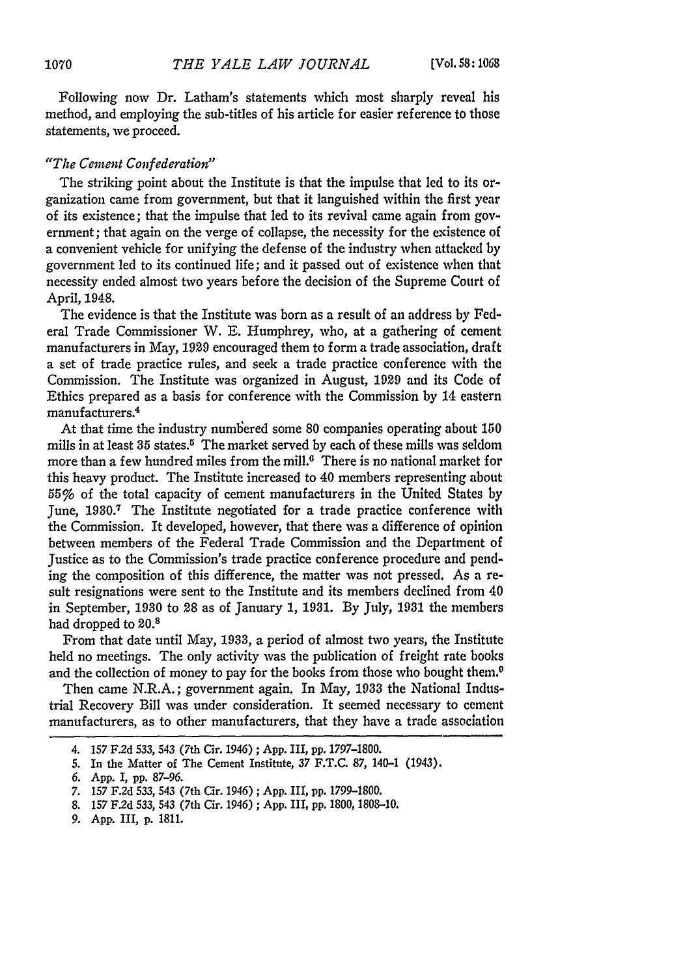Following now Dr. Latham's statements which most sharply reveal his method, and employing the sub-titles of his article for easier reference to those statements, we proceed.

## *"The Cement Confederation"*

The striking point about the Institute is that the impulse that led to its organization came from government, but that it languished within the first year of its existence; that the impulse that led to its revival came again from government; that again on the verge of collapse, the necessity for the existence of a convenient vehicle for unifying the defense of the industry when attacked by government led to its continued life; and it passed out of existence when that necessity ended almost two years before the decision of the Supreme Court of April, 1948.

The evidence is that the Institute was born as a result of an address by Federal Trade Commissioner W. **E.** Humphrey, who, at a gathering of cement manufacturers in May, 1929 encouraged them to form a trade association, draft a set of trade practice rules, and seek a trade practice conference with the Commission. The Institute was organized in August, 1929 and its Code of Ethics prepared as a basis for conference with the Commission by 14 eastern manufacturers.<sup>4</sup>

At that time the industry numbered some 80 companies operating about 150 mills in at least  $35$  states.<sup>5</sup> The market served by each of these mills was seldom more than a few hundred miles from the mill. $6$  There is no national market for this heavy product. The Institute increased to 40 members representing about *55%* of the total capacity of cement manufacturers in the United States by June, 1930.7 The Institute negotiated for a trade practice conference with the Commission. It developed, however, that there was a difference of opinion between members of the Federal Trade Commission and the Department of Justice as to the Commission's trade practice conference procedure and pending the composition of this difference, the matter was not pressed. As a result resignations were sent to the Institute and its members declined from 40 in September, 1930 to 28 as of January 1, 1931. By July, 1931 the members had dropped to 20.8

From that date until May, 1933, a period of almost two years, the Institute held no meetings. The only activity was the publication of freight rate books and the collection of money to pay for the books from those who bought them.<sup>9</sup>

Then came N.R.A.; government again. In May, 1933 the National Industrial Recovery Bill was under consideration. It seemed necessary to cement manufacturers, as to other manufacturers, that they have a trade association

<sup>4. 157</sup> F.2d **533,** 543 (7th Cir. 1946) ; App. III, **pp.** 1797-1800.

**<sup>5.</sup>** In the Matter of The Cement Institute, **37** F.T.C. 87, 140-1 (1943).

*<sup>6.</sup>* App. I, pp. 87-96.

<sup>7. 157</sup> F.2d **533,** 543 (7th Cir. 1946) ; App. III, pp. 1799-1800.

<sup>8.</sup> **157** F.2d **533,** 543 (7th Cir. 1946) ; App. III, pp. 1800, 1808-10.

*<sup>9.</sup>* App. III, p. 1811.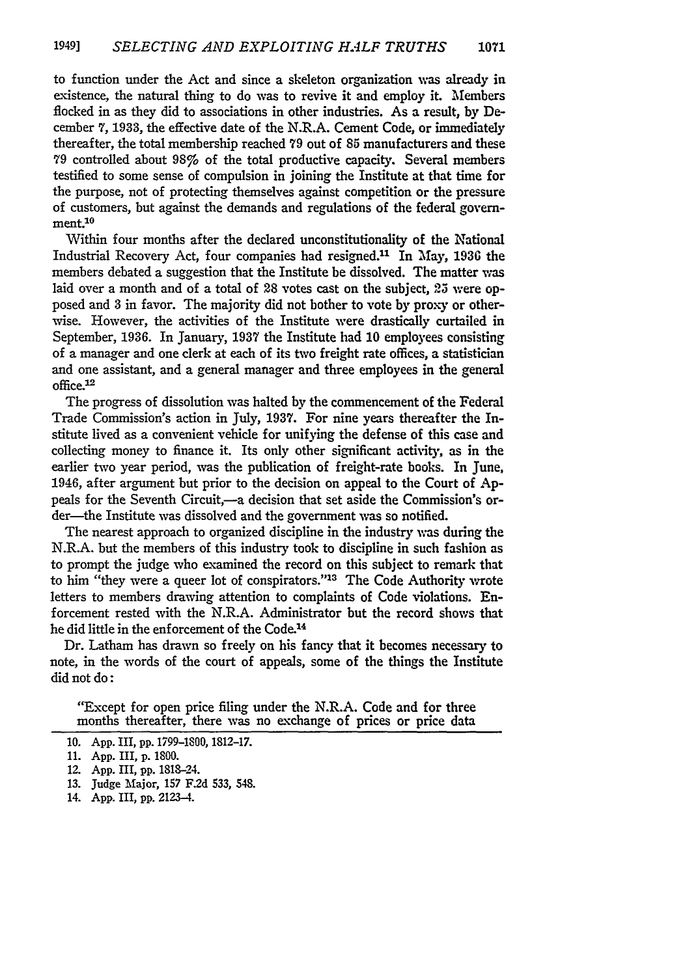to function under the Act and since a skeleton organization was already in existence, the natural thing to do was to revive it and employ it. Members flocked in as they did to associations in other industries. As a result, by December 7, 1933, the effective date of the N.R.A. Cement Code, or immediately thereafter, the total membership reached 79 out of **85** manufacturers and these **79** controlled about 98% of the total productive capacity. Several members testified to some sense of compulsion in joining the Institute at that time for the purpose, not of protecting themselves against competition or the pressure of customers, but against the demands and regulations of the federal government.<sup>10</sup>

Within four months after the declared unconstitutionality of the National Industrial Recovery Act, four companies had resigned.<sup>11</sup> In May, 1936 the members debated a suggestion that the Institute be dissolved. The matter was laid over a month and of a total of **28** votes cast on the subject, 25 were opposed and **3** in favor. The majority did not bother to vote by proxy or otherwise. However, the activities of the Institute were drastically curtailed in September, **1936.** In January, **1937** the Institute had 10 employees consisting of a manager and one clerk at each of its two freight rate offices, a statistician and one assistant, and a general manager and three employees in the general  $office.<sup>12</sup>$ 

The progress of dissolution was halted by the commencement of the Federal Trade Commission's action in July, **1937.** For nine years thereafter the Institute lived as a convenient vehicle for unifying the defense of this case and collecting money to finance it. Its only other significant activity, as in the earlier two year period, was the publication of freight-rate books. In June, 1946, after argument but prior to the decision on appeal to the Court of **Ap**peals for the Seventh Circuit,—a decision that set aside the Commission's order—the Institute was dissolved and the government was so notified.

The nearest approach to organized discipline in the industry was during the N.R.A. but the members of this industry took to discipline in such fashion as to prompt the judge who examined the record on this subject to remark that to him "they were a queer lot of conspirators."<sup>13</sup> The Code Authority wrote letters to members drawing attention to complaints of Code violations. Enforcement rested with the N.R.A. Administrator but the record shows that he did little in the enforcement of the Code.<sup>14</sup>

Dr. Latham has drawn so freely on his fancy that it becomes necessary to note, in the words of the court of appeals, some of the things the Institute did not do:

"Except for open price filing under the N.R.A. Code and for three months thereafter, there was no exchange of prices or price data

<sup>10.</sup> **App.** III, **pp.** 1799-1800, 1812-17.

<sup>11.</sup> App. III, **p.** 1800.

<sup>12.</sup> App. III, **pp.** 1818-24.

**<sup>13.</sup>** Judge Major, **157 F.2d 533,** 548.

<sup>14.</sup> **App.** III, **pp.** 2123-4.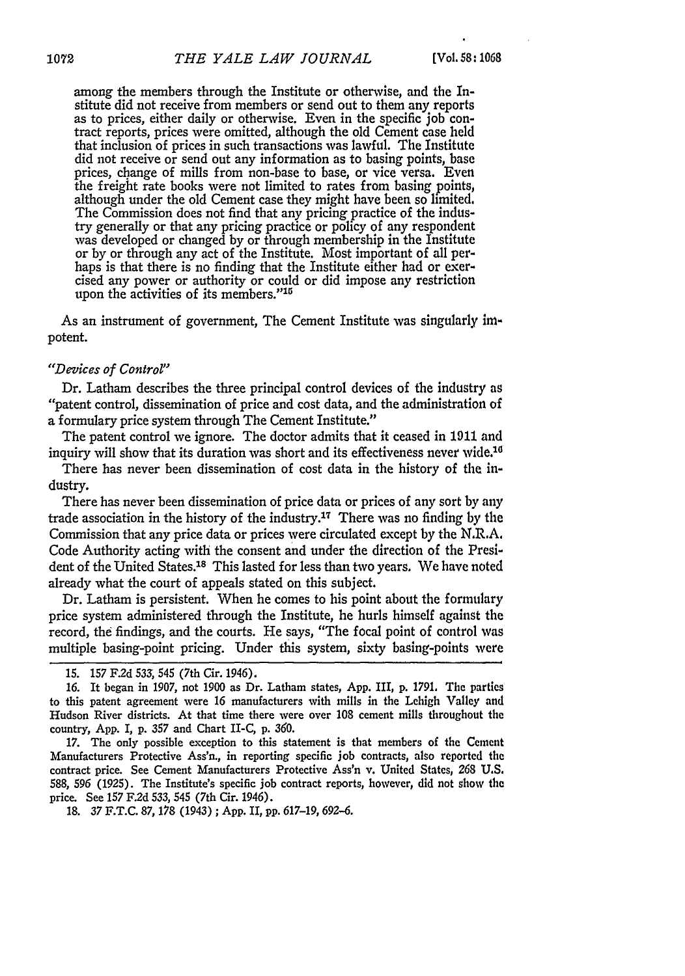among the members through the Institute or otherwise, and the Institute did not receive from members or send out to them any reports as to prices, either daily or otherwise. Even in the specific job contract reports, prices were omitted, although the old Cement case held that inclusion of prices in such transactions was lawful. The Institute did not receive or send out any information as to basing points, base prices, change of mills from non-base to base, or vice versa. Even the freight rate books were not limited to rates from basing points, although under the old Cement case they might have been so limited. The Commission does not find that any pricing practice of the industry generally or that any pricing practice or policy of any respondent was developed or changed by or through membership in the Institute or by or through any act of the Institute. Most important of all perhaps is that there is no finding that the Institute either had or exercised any power or authority or could or did impose any restriction upon the activities of its members."<sup>15</sup>

As an instrument of government, The Cement Institute was singularly impotent.

## *"Devices of Control"*

Dr. Latham describes the three principal control devices of the industry as "patent control, dissemination of price and cost data, and the administration of a formulary price system through The Cement Institute."

The patent control we ignore. The doctor admits that it ceased in 1911 and inquiry will show that its duration was short and its effectiveness never wide.<sup>16</sup>

There has never been dissemination of cost data in the history of the industry.

There has never been dissemination of price data or prices of any sort by any trade association in the history of the industry.<sup>17</sup> There was no finding by the Commission that any price data or prices were circulated except by the N.R.A. Code Authority acting with the consent and under the direction of the President of the United States.18 This lasted for less than two years. We have noted already what the court of appeals stated on this subject.

Dr. Latham is persistent. When he comes to his point about the formulary price system administered through the Institute, he hurls himself against the record, the findings, and the courts. He says, "The focal point of control was multiple basing-point pricing. Under this system, sixty basing-points were

18. *37* F.T.C. 87, *178* (1943) **;** App. II, pp. 617-19, 692-6.

<sup>15. 157</sup> F.2d 533, 545 (7th Cir. 1946).

<sup>16.</sup> It began in 1907, not 1900 as Dr. Latham states, App. III, p. 1791. The parties to this patent agreement were 16 manufacturers with mills in the Lehigh Valley and Hudson River districts. At that time there were over 108 cement mills throughout the country, App. *I,* p. 357 and Chart II-C, p. *360.*

<sup>17.</sup> The only possible exception to this statement is that members of the Cement Manufacturers Protective Ass'n., in reporting specific job contracts, also reported the contract price. See Cement Manufacturers Protective Ass'n v. United States, 268 **U.S.** 588, *596* (1925). The Institute's specific job contract reports, however, did not show the price. See 157 **F.2d** 533, 545 (7th Cir. 1946).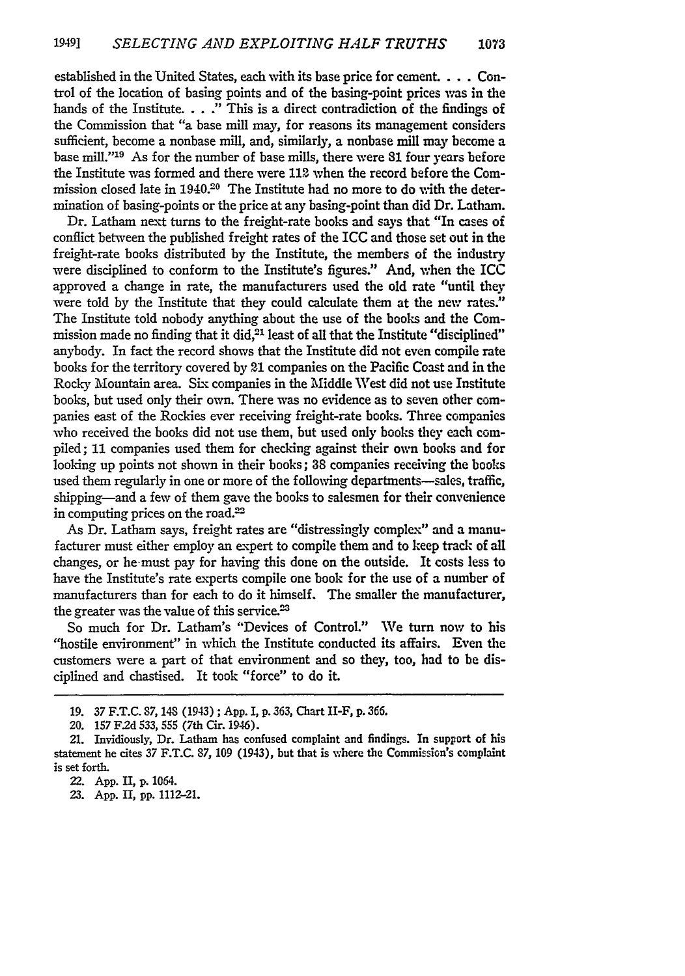established in the United States, each with its base price for cement. ... Control of the location of basing points and of the basing-point prices was in the hands of the Institute. . . ." This is a direct contradiction of the findings of the Commission that "a base mill may, for reasons its management considers sufficient, become a nonbase mill, and, similarly, a nonbase mill may become a base *mill."'19* As for the number of base mills, there were **81** four years before the Institute was formed and there were 112 when the record before the Commission closed late in 1940.20 The Institute had no more to do with the determination of basing-points or the price at any basing-point than did Dr. Latham.

Dr. Latham next turns to the freight-rate books and says that "In cases of conflict between the published freight rates of the ICC and those set out in the freight-rate books distributed by the Institute, the members of the industry were disciplined to conform to the Institute's figures." And, when the ICC approved a change in rate, the manufacturers used the old rate "until they were told by the Institute that they could calculate them at the new rates." The Institute told nobody anything about the use of the books and the Commission made no finding that it did,<sup>21</sup> least of all that the Institute "disciplined" anybody. In fact the record shows that the Institute did not even compile rate books for the territory covered **by** 21 companies on the Pacific Coast and in the Rocky Mountain area. Six companies in the Midde West did not use Institute books, but used only their own. There was no evidence as to seven other companies east of the Rockies ever receiving freight-rate books. Three companies who received the books did not use them, but used only books they each compiled; 11 companies used them for checking against their own books and for looking up points not shown in their books; **38** companies receiving the books used them regularly in one or more of the following departments-sales, traffic, shipping-and a few of them gave the books to salesmen for their convenience in computing prices on the road.<sup>22</sup>

As Dr. Latham says, freight rates are "distressingly complex" and a manufacturer must either employ an expert to compile them and to keep track of all changes, or he-must pay for having this done on the outside. It costs less to have the Institute's rate experts compile one book for the use of a number of manufacturers than for each to do it himself. The smaller the manufacturer, the greater was the value of this service. $23$ 

So much for Dr. Latham's "Devices of Control." We turn now to his "hostile environment" in which the Institute conducted its affairs. Even the customers were a part of that environment and so they, too, had to be disciplined and chastised. It took "force" to do it.

**23. App. II, pp.** 1112-21.

**<sup>19.</sup>** 37 **F.T.C. 87, 14S** (1943) ; **App. I, p. 363,** Chart II-F, **p.** 366.

<sup>20. 157</sup> F.2d **533, 555** (7th Cir. 1946).

<sup>21.</sup> Invidiously, Dr. Latham has confused complaint and findings. In support of his statement he cites **37** F.T.C. **87, 109** (1943), but that is where the Commission's complaint is set forth.

**<sup>22.</sup> App.** II, **p. 1064.**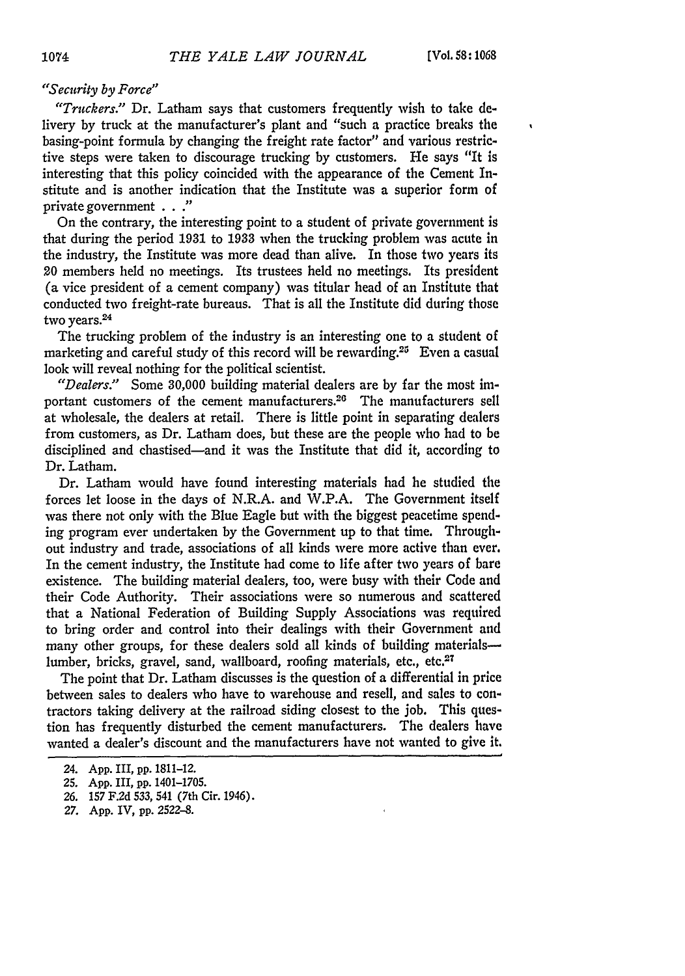$\bullet$ 

## *"Security by Force"*

*"Truckers."* Dr. Latham says that customers frequently wish to take **de**livery by truck at the manufacturer's plant and "such a practice breaks the basing-point formula by changing the freight rate factor" and various restrictive steps were taken to discourage trucking by customers. He says "It is interesting that this policy coincided with the appearance of the Cement Institute and is another indication that the Institute was a superior form of private government . . **."**

On the contrary, the interesting point to a student of private government is that during the period **1931** to **1933** when the trucking problem was acute in the industry, the Institute was more dead than alive. In those two years its 20 members held no meetings. Its trustees held no meetings. Its president (a vice president of a cement company) was titular head of an Institute that conducted two freight-rate bureaus. That is all the Institute did during those two years.<sup>24</sup>

The trucking problem of the industry is an interesting one to a student of marketing and careful study of this record will be rewarding.<sup>25</sup> Even a casual look will reveal nothing for the political scientist.

*"Dealers."* Some 30,000 building material dealers are by far the most important customers of the cement manufacturers.<sup>26</sup> The manufacturers sell at wholesale, the dealers at retail. There is little point in separating dealers from customers, as Dr. Latham does, but these are the people who had to be disciplined and chastised-and it was the Institute that did it, according to Dr. Latham.

Dr. Latham would have found interesting materials had he studied the forces let loose in the days of N.R.A. and W.P.A. The Government itself was there not only with the Blue Eagle but with the biggest peacetime spending program ever undertaken by the Government up to that time. Throughout industry and trade, associations of all kinds were more active than ever. In the cement industry, the Institute bad come to life after two years of bare existence. The building material dealers, too, were busy with their Code and their Code Authority. Their associations were so numerous and scattered that a National Federation of Building Supply Associations was required to bring order and control into their dealings with their Government and many other groups, for these dealers sold all kinds of building materialslumber, bricks, gravel, sand, wallboard, roofing materials, etc., etc.<sup>27</sup>

The point that Dr. Latham discusses is the question of a differential in price between sales to dealers who have to warehouse and resell, and sales to contractors taking delivery at the railroad siding closest to the job. This question has frequently disturbed the cement manufacturers. The dealers have wanted a dealer's discount and the manufacturers have not wanted to give it.

<sup>24.</sup> App. III, pp. 1811-12.

<sup>25.</sup> App. III, **pp.** 1401-1705.

<sup>26. 157</sup> F.2d 533, 541 (7th Cir. 1946).

**<sup>27.</sup> App.** IV, pp. **2522-8.**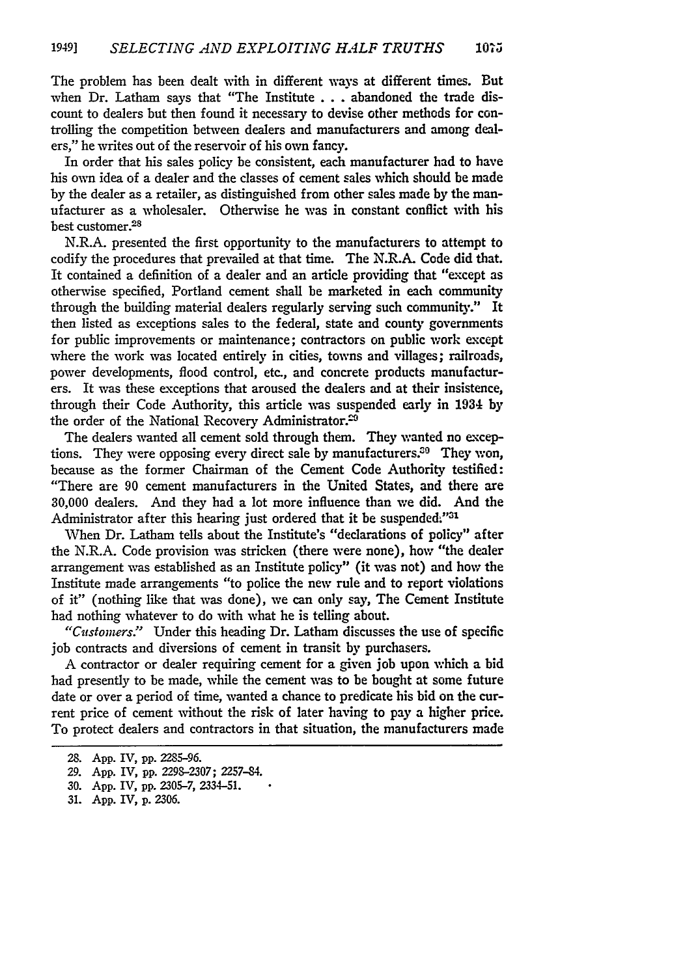The problem has been dealt with in different ways at different times. But when Dr. Latham says that "The Institute **. . .**abandoned the trade discount to dealers but then found it necessary to devise other methods for controlling the competition between dealers and manufacturers and among dealers," he writes out of the reservoir of his own fancy.

In order that his sales policy be consistent, each manufacturer had to have his own idea of a dealer and the classes of cement sales which should be made **by** the dealer as a retailer, as distinguished from other sales made by the manufacturer as a wholesaler. Otherwise he was in constant conflict with his best customer.<sup>28</sup>

N.R.A. presented the first opportunity to the manufacturers to attempt to codify the procedures that prevailed at that time. The N.R.A. Code did that. It contained a definition of a dealer and an article providing that "except as otherwise specified, Portland cement shall be marketed in each community through the building material dealers regularly serving such community." It then listed as exceptions sales to the federal, state and county governments for public improvements or maintenance; contractors on public work except where the work was located entirely in cities, towns and villages; railroads, power developments, flood control, etc., and concrete products manufacturers. It was these exceptions that aroused the dealers and at their insistence, through their Code Authority, this article was suspended early in 1934 by the order of the National Recovery Administrator.<sup>29</sup>

The dealers wanted all cement sold through them. They wanted no exceptions. They were opposing every direct sale by manufacturers. $30$  They won, because as the former Chairman of the Cement Code Authority testified: "There are 90 cement manufacturers in the United States, and there are 30,000 dealers. And they had a lot more influence than we did. And the Administrator after this hearing just ordered that it be suspended."31

When Dr. Latham tells about the Institute's "declarations of policy" after the N.R.A. Code provision was stricken (there were none), how "the dealer arrangement was established as an Institute policy" (it was not) and how the Institute made arrangements "to police the new rule and to report violations of it" (nothing like that was done), we can only say, The Cement Institute had nothing whatever to do with what he is telling about.

*"Ciustonwrs:"* Under this heading Dr. Latham discusses the use of specific **job** contracts and diversions of cement in transit by purchasers.

**A** contractor or dealer requiring cement for a given job upon which a bid had presently to be made, while the cement was to be bought at some future date or over a period of time, wanted a chance to predicate his bid on the current price of cement without the risk of later having to pay a higher price. To protect dealers and contractors in that situation, the manufacturers made

**<sup>28.</sup> App.** IV, **pp. 2285-96.**

<sup>29.</sup> App. IV, **pp.** 2298-2307; 2257-84.

**<sup>30.</sup>** App. IV, **pp.** 2305-7, 2334-51.

**<sup>31.</sup> App.** IV, **p. 2306.**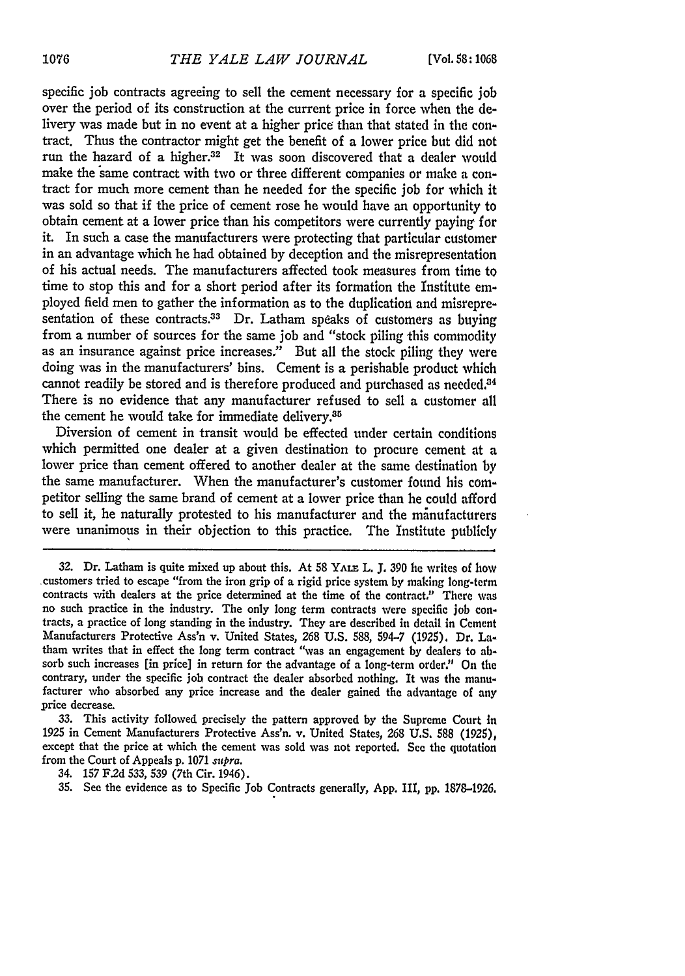specific job contracts agreeing to sell the cement necessary for a specific job over the period of its construction at the current price in force when the delivery was made but in no event at a higher price than that stated in the contract. Thus the contractor might get the benefit of a lower price but did not run the hazard of a higher.32 It was soon discovered that a dealer would make the same contract with two or three different companies or make a contract for much more cement than he needed for the specific job for which it was sold so that if the price of cement rose he would have an opportunity to obtain cement at a lower price than his competitors were currently paying for it. In such a case the manufacturers were protecting that particular customer in an advantage which he had obtained by deception and the misrepresentation of his actual needs. The manufacturers affected took measures from time to time to stop this and for a short period after its formation the Institute employed field men to gather the information as to the duplication and misrepresentation of these contracts.<sup>33</sup> Dr. Latham speaks of customers as buying from a number of sources for the same job and "stock piling this commodity as an insurance against price increases." But all the stock piling they were doing was in the manufacturers' bins. Cement is a perishable product which cannot readily be stored and is therefore produced and purchased as needed.<sup>34</sup> There is no evidence that any manufacturer refused to sell a customer all the cement he would take for immediate delivery.<sup>35</sup>

Diversion of cement in transit would be effected under certain conditions which permitted one dealer at a given destination to procure cement at a lower price than cement offered to another dealer at the same destination by the same manufacturer. When the manufacturer's customer found his competitor selling the same brand of cement at a lower price than he could afford to sell it, he naturally protested to his manufacturer and the manufacturers were unanimous in their objection to this practice. The Institute publicly

**33.** This activity followed precisely the pattern approved by the Supreme Court in **1925** in Cement Manufacturers Protective Ass'n. v. United States, **268 U.S.** 588 **(1925),** except that the price at which the cement was sold was not reported. See the quotation from the Court of Appeals **p. 1071** *supra.*

34. **157 F.2d 533,** 539 (7th Cir. 1946).

**35.** See the evidence as to Specific Job Contracts generally, **App.** III, **pp.** 1878-1926.

**<sup>32.</sup>** Dr. Latham is quite mixed up about this. At 58 **YALE** L. **J.** *390* he writes of how customers tried to escape "from the iron grip of a rigid price system **by** making long-term contracts with dealers at the price determined at the time of the contract." There was no such practice in the industry. The only long term contracts were specific **job** con- tracts, a practice of long standing in the industry. They are described in detail in Cement Manufacturers Protective Ass'n v. United States, **268 U.S. 588, 594-7 (1925).** Dr. Latham writes that in effect the long term contract "was an engagement by dealers to **ab**sorb such increases [in price] in return for the advantage of a long-term order." On the contrary, under the specific **job** contract the dealer absorbed nothing. It was the manu- facturer who absorbed any price increase and the dealer gained the advantage of any price decrease.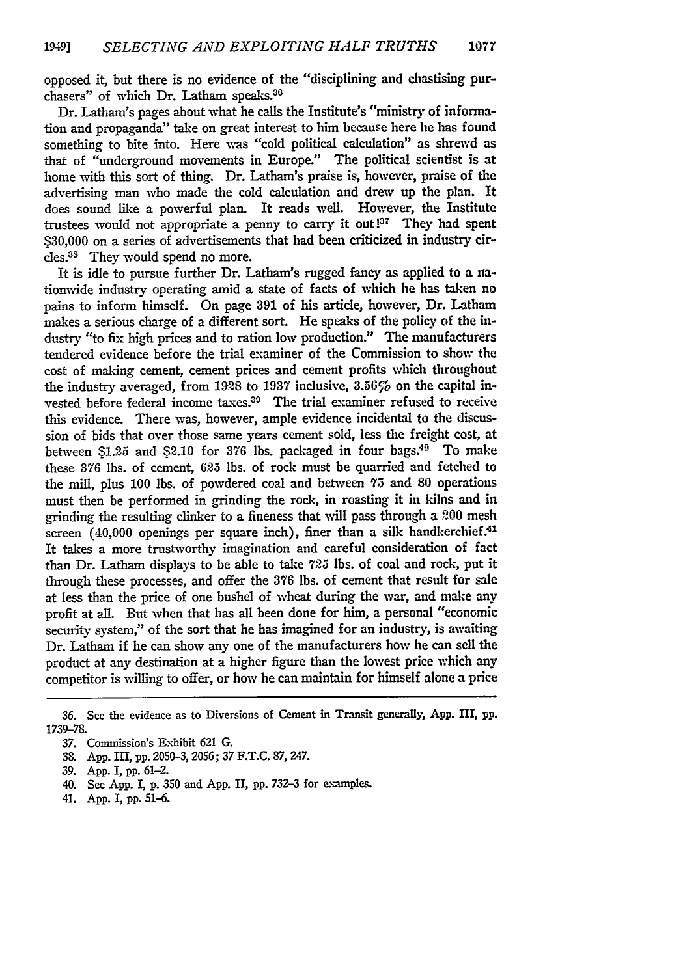opposed it, but there is no evidence of the "disciplining and chastising purchasers" of which Dr. Latham speaks.36

Dr. Latham's pages about what he calls the Institute's "ministry of information and propaganda" take on great interest to him because here he has found something to bite into. Here was "cold political calculation" as shrewd as that of "underground movements in Europe." The political scientist is at home with this sort of thing. Dr. Latham's praise is, however, praise of the advertising man who made the cold calculation and drew up the plan. It does sound like a powerful plan. It reads well. However, the Institute trustees would not appropriate a penny to carry it out!<sup>37</sup> They had spent \$30,000 on a series of advertisements that had been criticized in industry circles.<sup>38</sup> They would spend no more.

It is idle to pursue further Dr. Latham's rugged fancy as applied to a rationwide industry operating amid a state of facts of which he has taken no pains to inform himself. On page **391** of his article, however, Dr. Latham makes a serious charge of a different sort. He speaks of the policy of the industry "to fix high prices and to ration low production." The manufacturers tendered evidence before the trial examiner of the Commission to show the cost of making cement, cement prices and cement profits which throughout the industry averaged, from 1928 to 1937 inclusive,  $3.56\%$  on the capital invested before federal income taxes.<sup>30</sup> The trial examiner refused to receive this evidence. There was, however, ample evidence incidental to the discussion of bids that over those same years cement sold, less the freight cost, at between \$1.25 and \$2.10 for 376 lbs. packaged in four bags.<sup>40</sup> To make these **376** lbs. of cement, **625** lbs. of rock must be quarried and fetched to the mill, plus 100 lbs. of powdered coal and between **7.3** and 80 operations must then be performed in grinding the rock, in roasting it in kilns and in grinding the resulting clinker to a fineness that will pass through a **200** mesh screen  $(40,000$  openings per square inch), finer than a silk handkerchief.<sup>41</sup> It takes a more trustworthy imagination and careful consideration of fact than Dr. Latham displays to be able to take **723** lbs. of coal and rock, put it through these processes, and offer the **376** lbs. of cement that result for sale at less than the price of one bushel of wheat during the war, and make any profit at all. But when that has all been done for him, a personal "economic security system," of the sort that he has imagined for an industry, is awaiting Dr. Latham if he can show any one of the manufacturers how he can sell the product at any destination at a higher figure than the lowest price which any competitor is willing to offer, or how he can maintain for himself alone a price

39. App. I, **pp.** 61-2.

41. **App.** I, **pp. 51-6.**

**<sup>36.</sup>** See the evidence as to Diversions of Cement in Transit generally, **App.** III, **pp.** 1739-78.

<sup>37.</sup> Commission's Exhibit 621 G.

**<sup>38.</sup> App.** III, **pp.** 2050-3, 2056; 37 **F.T.C. 87,** 247.

<sup>40.</sup> See **App.** I, **p.** 350 and **App.** II, **pp. 732-3** for examples.